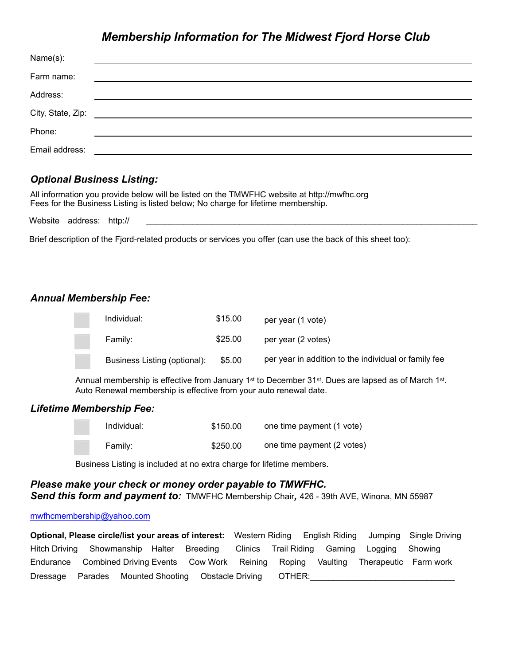# *Membership Information for The Midwest Fjord Horse Club*

| Name(s):       |                                                           |
|----------------|-----------------------------------------------------------|
| Farm name:     | <u> 1989 - John Stein, Amerikaansk politiker (* 1958)</u> |
| Address:       |                                                           |
|                |                                                           |
| Phone:         |                                                           |
| Email address: |                                                           |

# *Optional Business Listing:*

All information you provide below will be listed on the TMWFHC website at http://mwfhc.org Fees for the Business Listing is listed below; No charge for lifetime membership.

Website address: http://

Brief description of the Fjord-related products or services you offer (can use the back of this sheet too):

## *Annual Membership Fee:*

| Individual:                  | \$15.00 | per year (1 vote)                                    |
|------------------------------|---------|------------------------------------------------------|
| Family:                      | \$25.00 | per year (2 votes)                                   |
| Business Listing (optional): | \$5.00  | per year in addition to the individual or family fee |

Annual membership is effective from January 1<sup>st</sup> to December 31st. Dues are lapsed as of March 1st. Auto Renewal membership is effective from your auto renewal date.

### *Lifetime Membership Fee:*

| Individual: | \$150.00 | one time payment (1 vote)  |
|-------------|----------|----------------------------|
| Family:     | \$250.00 | one time payment (2 votes) |

Business Listing is included at no extra charge for lifetime members.

#### *Please make your check or money order payable to TMWFHC. Send this form and payment to:* TMWFHC Membership Chair*,* 426 - 39th AVE, Winona, MN 55987

#### [mwfhcmembership@yahoo.com](mailto:mwfhcmembership@yahoo.com)

**Optional, Please circle/list your areas of interest:** Western Riding English Riding Jumping Single Driving Hitch Driving Showmanship Halter Breeding Clinics Trail Riding Gaming Logging Showing Endurance Combined Driving Events Cow Work Reining Roping Vaulting Therapeutic Farm work Dressage Parades Mounted Shooting Obstacle Driving OTHER: